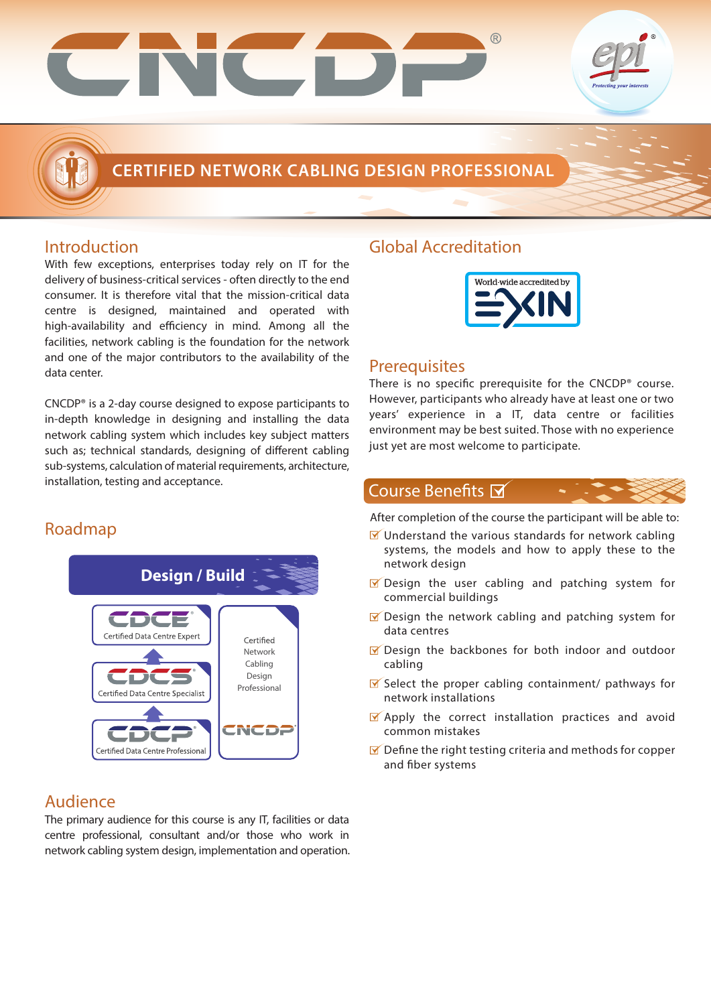

## **CERTIFIED NETWORK CABLING DESIGN PROFESSIONAL**

### Introduction

With few exceptions, enterprises today rely on IT for the delivery of business-critical services - often directly to the end consumer. It is therefore vital that the mission-critical data centre is designed, maintained and operated with high-availability and efficiency in mind. Among all the facilities, network cabling is the foundation for the network and one of the major contributors to the availability of the data center.

CNCDP® is a 2-day course designed to expose participants to in-depth knowledge in designing and installing the data network cabling system which includes key subject matters such as; technical standards, designing of different cabling sub-systems, calculation of material requirements, architecture, installation, testing and acceptance.

## Roadmap



### Audience

The primary audience for this course is any IT, facilities or data centre professional, consultant and/or those who work in network cabling system design, implementation and operation.

## Global Accreditation



### **Prerequisites**

There is no specific prerequisite for the  $CNCDP<sup>®</sup>$  course. However, participants who already have at least one or two years' experience in a IT, data centre or facilities environment may be best suited. Those with no experience just yet are most welcome to participate.

### Course Benefits M

After completion of the course the participant will be able to:

- $\blacksquare$  Understand the various standards for network cabling systems, the models and how to apply these to the network design
- Design the user cabling and patching system for commercial buildings
- $\blacksquare$  Design the network cabling and patching system for data centres
- $\sqrt{2}$  Design the backbones for both indoor and outdoor cabling
- $\blacktriangleright$  Select the proper cabling containment/ pathways for network installations
- **M** Apply the correct installation practices and avoid common mistakes
- $\blacksquare$  Define the right testing criteria and methods for copper and fiber systems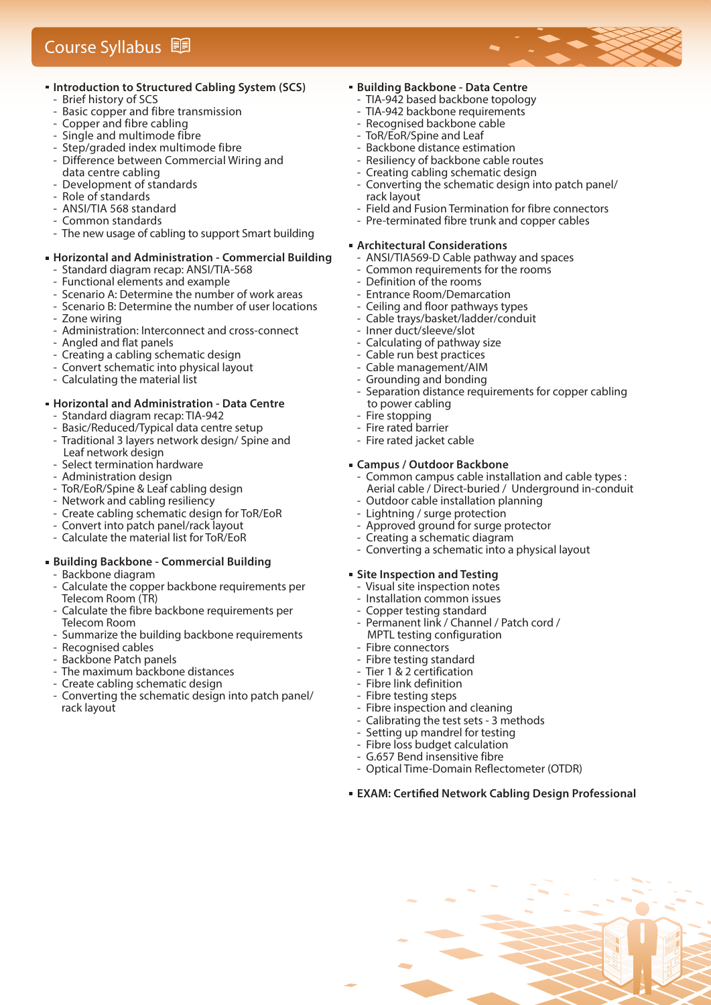## Course Syllabus

#### **Introduction to Structured Cabling System (SCS)**

- Brief history of SCS
- Basic copper and fibre transmission
- Copper and fibre cabling
- Single and multimode fibre
- Step/graded index multimode fibre
- Difference between Commercial Wiring and
- data centre cabling Development of standards
- Role of standards
- ANSI/TIA 568 standard
- Common standards
- The new usage of cabling to support Smart building

## **Horizontal and Administration - Commercial Building**

- Standard diagram recap: ANSI/TIA-568
- Functional elements and example
- Scenario A: Determine the number of work areas
- Scenario B: Determine the number of user locations
- Zone wiring
- Administration: Interconnect and cross-connect
- Angled and flat panels
- Creating a cabling schematic design
- Convert schematic into physical layout
- Calculating the material list

#### **Horizontal and Administration - Data Centre**

- Standard diagram recap: TIA-942
- Basic/Reduced/Typical data centre setup
- Traditional 3 layers network design/ Spine and Leaf network design
- Select termination hardware
- Administration design
- ToR/EoR/Spine & Leaf cabling design
- Network and cabling resiliency
- Create cabling schematic design for ToR/EoR
- Convert into patch panel/rack layout
- Calculate the material list for ToR/EoR

### **Building Backbone - Commercial Building**

- Backbone diagram
- Calculate the copper backbone requirements per Telecom Room (TR)
- Calculate the fibre backbone requirements per Telecom Room
- Summarize the building backbone requirements
- Recognised cables
- Backbone Patch panels
- The maximum backbone distances
- Create cabling schematic design
- Converting the schematic design into patch panel/ rack layout

#### **Building Backbone - Data Centre**

- TIA-942 based backbone topology
- TIA-942 backbone requirements
- Recognised backbone cable
- ToR/EoR/Spine and Leaf
- Backbone distance estimation
- Resiliency of backbone cable routes
- Creating cabling schematic design
- Converting the schematic design into patch panel/ rack layout
- Field and Fusion Termination for fibre connectors
- Pre-terminated fibre trunk and copper cables

#### **Architectural Considerations**

- ANSI/TIA569-D Cable pathway and spaces
- Common requirements for the rooms
- Definition of the rooms
- Entrance Room/Demarcation
- Ceiling and floor pathways types
- Cable trays/basket/ladder/conduit
- Inner duct/sleeve/slot
- Calculating of pathway size
- Cable run best practices
- Cable management/AIM
- Grounding and bonding<br>- Separation distance requ
- Separation distance requirements for copper cabling to power cabling
- Fire stopping
- Fire rated barrier
- Fire rated jacket cable

#### **Campus / Outdoor Backbone**

- Common campus cable installation and cable types : Aerial cable / Direct-buried / Underground in-conduit
- Outdoor cable installation planning<br>- Lightning / surge protection Lightning / surge protection
- Approved ground for surge protector
- Creating a schematic diagram
- Converting a schematic into a physical layout

#### **Site Inspection and Testing**

- Visual site inspection notes
- Installation common issues
- Copper testing standard
- Permanent link / Channel / Patch cord / MPTL testing configuration
- Fibre connectors
- Fibre testing standard
- Tier 1 & 2 certification
	- Fibre link definition
- Fibre testing steps
- Fibre inspection and cleaning
- Calibrating the test sets 3 methods
- Setting up mandrel for testing
- Fibre loss budget calculation
- G.657 Bend insensitive fibre
- Optical Time-Domain Reflectometer (OTDR)

#### **EXAM: Certied Network Cabling Design Professional**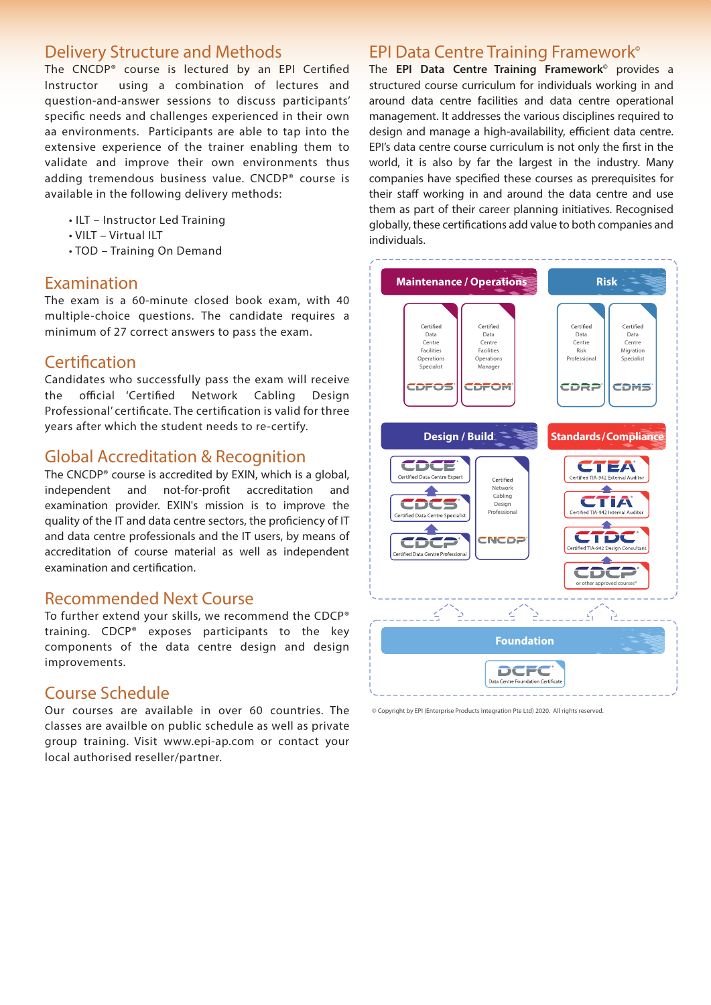## Delivery Structure and Methods

The CNCDP<sup>®</sup> course is lectured by an EPI Certified Instructor using a combination of lectures and question-and-answer sessions to discuss participants' specific needs and challenges experienced in their own aa environments. Participants are able to tap into the extensive experience of the trainer enabling them to validate and improve their own environments thus adding tremendous business value. CNCDP® course is available in the following delivery methods:

- ILT Instructor Led Training
- VILT Virtual ILT
- TOD Training On Demand

### Examination

The exam is a 60-minute closed book exam, with 40 multiple-choice questions. The candidate requires a minimum of 27 correct answers to pass the exam.

### Certification

Candidates who successfully pass the exam will receive the official 'Certified Network Cabling Design Professional' certificate. The certification is valid for three years after which the student needs to re-certify.

### Global Accreditation & Recognition

The CNCDP® course is accredited by EXIN, which is a global, independent and not-for-profit accreditation and examination provider. EXIN's mission is to improve the quality of the IT and data centre sectors, the proficiency of IT and data centre professionals and the IT users, by means of accreditation of course material as well as independent examination and certification.

### Recommended Next Course

To further extend your skills, we recommend the CDCP® training. CDCP® exposes participants to the key components of the data centre design and design improvements.

### Course Schedule

Our courses are available in over 60 countries. The classes are availble on public schedule as well as private group training. Visit www.epi-ap.com or contact your local authorised reseller/partner.

### EPI Data Centre Training Framework**©**

The **EPI Data Centre Training Framework©** provides a structured course curriculum for individuals working in and around data centre facilities and data centre operational management. It addresses the various disciplines required to design and manage a high-availability, efficient data centre. EPI's data centre course curriculum is not only the first in the world, it is also by far the largest in the industry. Many companies have specified these courses as prerequisites for their staff working in and around the data centre and use them as part of their career planning initiatives. Recognised globally, these certifications add value to both companies and individuals.



<sup>©</sup> Copyright by EPI (Enterprise Products Integration Pte Ltd) 2020. All rights reserved.